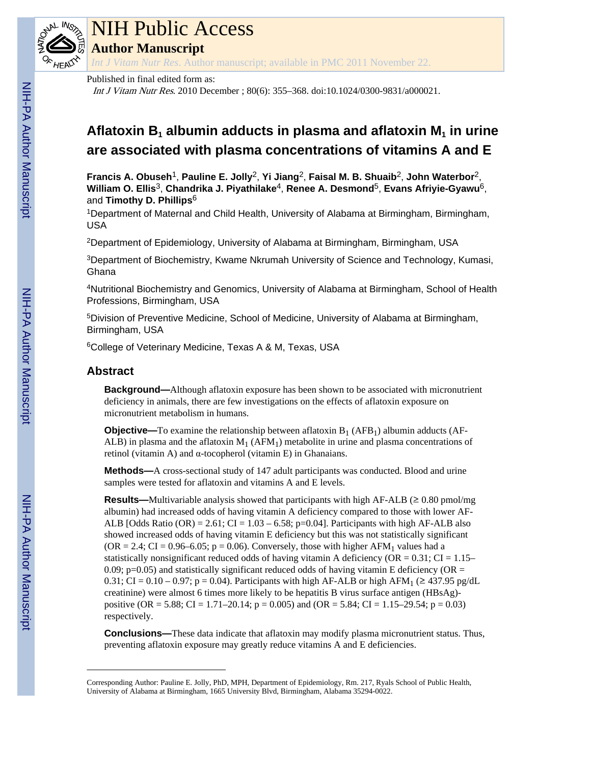

# NIH Public Access

**Author Manuscript**

*Int J Vitam Nutr Res*. Author manuscript; available in PMC 2011 November 22.

# Published in final edited form as:

Int J Vitam Nutr Res. 2010 December ; 80(6): 355–368. doi:10.1024/0300-9831/a000021.

# **Aflatoxin B1 albumin adducts in plasma and aflatoxin M1 in urine are associated with plasma concentrations of vitamins A and E**

**Francis A. Obuseh**1, **Pauline E. Jolly**2, **Yi Jiang**2, **Faisal M. B. Shuaib**2, **John Waterbor**2, **William O. Ellis**3, **Chandrika J. Piyathilake**4, **Renee A. Desmond**5, **Evans Afriyie-Gyawu**6, and **Timothy D. Phillips**<sup>6</sup>

<sup>1</sup>Department of Maternal and Child Health, University of Alabama at Birmingham, Birmingham, USA

<sup>2</sup>Department of Epidemiology, University of Alabama at Birmingham, Birmingham, USA

<sup>3</sup>Department of Biochemistry, Kwame Nkrumah University of Science and Technology, Kumasi, Ghana

<sup>4</sup>Nutritional Biochemistry and Genomics, University of Alabama at Birmingham, School of Health Professions, Birmingham, USA

<sup>5</sup>Division of Preventive Medicine, School of Medicine, University of Alabama at Birmingham, Birmingham, USA

<sup>6</sup>College of Veterinary Medicine, Texas A & M, Texas, USA

# **Abstract**

**Background—**Although aflatoxin exposure has been shown to be associated with micronutrient deficiency in animals, there are few investigations on the effects of aflatoxin exposure on micronutrient metabolism in humans.

**Objective—**To examine the relationship between aflatoxin  $B_1$  (AFB<sub>1</sub>) albumin adducts (AF-ALB) in plasma and the aflatoxin  $M_1$  (AFM<sub>1</sub>) metabolite in urine and plasma concentrations of retinol (vitamin A) and α-tocopherol (vitamin E) in Ghanaians.

**Methods—**A cross-sectional study of 147 adult participants was conducted. Blood and urine samples were tested for aflatoxin and vitamins A and E levels.

**Results—**Multivariable analysis showed that participants with high AF-ALB  $(20.80 \text{ pmol/mg})$ albumin) had increased odds of having vitamin A deficiency compared to those with lower AF-ALB [Odds Ratio  $(OR) = 2.61$ ; CI =  $1.03 - 6.58$ ; p=0.04]. Participants with high AF-ALB also showed increased odds of having vitamin E deficiency but this was not statistically significant  $(OR = 2.4; CI = 0.96–6.05; p = 0.06)$ . Conversely, those with higher AFM<sub>1</sub> values had a statistically nonsignificant reduced odds of having vitamin A deficiency (OR =  $0.31$ ; CI =  $1.15-$ 0.09; p=0.05) and statistically significant reduced odds of having vitamin E deficiency (OR = 0.31; CI = 0.10 – 0.97; p = 0.04). Participants with high AF-ALB or high AFM<sub>1</sub> ( $\geq$  437.95 pg/dL creatinine) were almost 6 times more likely to be hepatitis B virus surface antigen (HBsAg) positive (OR = 5.88; CI = 1.71–20.14; p = 0.005) and (OR = 5.84; CI = 1.15–29.54; p = 0.03) respectively.

**Conclusions—**These data indicate that aflatoxin may modify plasma micronutrient status. Thus, preventing aflatoxin exposure may greatly reduce vitamins A and E deficiencies.

Corresponding Author: Pauline E. Jolly, PhD, MPH, Department of Epidemiology, Rm. 217, Ryals School of Public Health, University of Alabama at Birmingham, 1665 University Blvd, Birmingham, Alabama 35294-0022.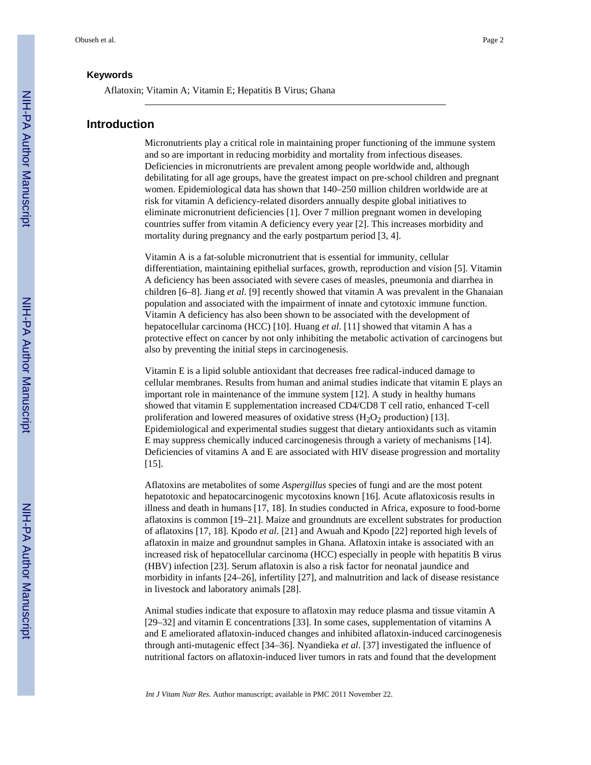Aflatoxin; Vitamin A; Vitamin E; Hepatitis B Virus; Ghana

# **Introduction**

Micronutrients play a critical role in maintaining proper functioning of the immune system and so are important in reducing morbidity and mortality from infectious diseases. Deficiencies in micronutrients are prevalent among people worldwide and, although debilitating for all age groups, have the greatest impact on pre-school children and pregnant women. Epidemiological data has shown that 140–250 million children worldwide are at risk for vitamin A deficiency-related disorders annually despite global initiatives to eliminate micronutrient deficiencies [1]. Over 7 million pregnant women in developing countries suffer from vitamin A deficiency every year [2]. This increases morbidity and mortality during pregnancy and the early postpartum period [3, 4].

Vitamin A is a fat-soluble micronutrient that is essential for immunity, cellular differentiation, maintaining epithelial surfaces, growth, reproduction and vision [5]. Vitamin A deficiency has been associated with severe cases of measles, pneumonia and diarrhea in children [6–8]. Jiang *et al*. [9] recently showed that vitamin A was prevalent in the Ghanaian population and associated with the impairment of innate and cytotoxic immune function. Vitamin A deficiency has also been shown to be associated with the development of hepatocellular carcinoma (HCC) [10]. Huang *et al*. [11] showed that vitamin A has a protective effect on cancer by not only inhibiting the metabolic activation of carcinogens but also by preventing the initial steps in carcinogenesis.

Vitamin E is a lipid soluble antioxidant that decreases free radical-induced damage to cellular membranes. Results from human and animal studies indicate that vitamin E plays an important role in maintenance of the immune system [12]. A study in healthy humans showed that vitamin E supplementation increased CD4/CD8 T cell ratio, enhanced T-cell proliferation and lowered measures of oxidative stress  $(H<sub>2</sub>O<sub>2</sub>$  production) [13]. Epidemiological and experimental studies suggest that dietary antioxidants such as vitamin E may suppress chemically induced carcinogenesis through a variety of mechanisms [14]. Deficiencies of vitamins A and E are associated with HIV disease progression and mortality [15].

Aflatoxins are metabolites of some *Aspergillus* species of fungi and are the most potent hepatotoxic and hepatocarcinogenic mycotoxins known [16]. Acute aflatoxicosis results in illness and death in humans [17, 18]. In studies conducted in Africa, exposure to food-borne aflatoxins is common [19–21]. Maize and groundnuts are excellent substrates for production of aflatoxins [17, 18]. Kpodo *et al*. [21] and Awuah and Kpodo [22] reported high levels of aflatoxin in maize and groundnut samples in Ghana. Aflatoxin intake is associated with an increased risk of hepatocellular carcinoma (HCC) especially in people with hepatitis B virus (HBV) infection [23]. Serum aflatoxin is also a risk factor for neonatal jaundice and morbidity in infants [24–26], infertility [27], and malnutrition and lack of disease resistance in livestock and laboratory animals [28].

Animal studies indicate that exposure to aflatoxin may reduce plasma and tissue vitamin A [29–32] and vitamin E concentrations [33]. In some cases, supplementation of vitamins A and E ameliorated aflatoxin-induced changes and inhibited aflatoxin-induced carcinogenesis through anti-mutagenic effect [34–36]. Nyandieka *et al*. [37] investigated the influence of nutritional factors on aflatoxin-induced liver tumors in rats and found that the development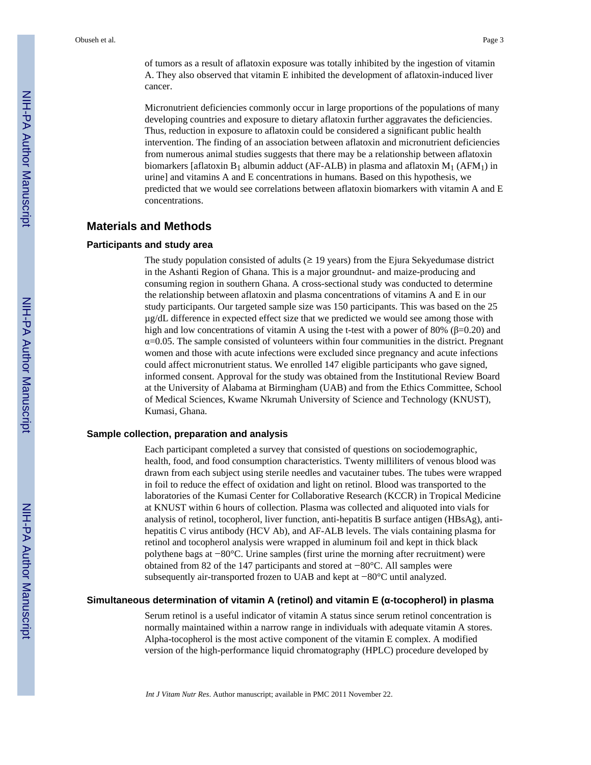of tumors as a result of aflatoxin exposure was totally inhibited by the ingestion of vitamin A. They also observed that vitamin E inhibited the development of aflatoxin-induced liver cancer.

Micronutrient deficiencies commonly occur in large proportions of the populations of many developing countries and exposure to dietary aflatoxin further aggravates the deficiencies. Thus, reduction in exposure to aflatoxin could be considered a significant public health intervention. The finding of an association between aflatoxin and micronutrient deficiencies from numerous animal studies suggests that there may be a relationship between aflatoxin biomarkers [aflatoxin  $B_1$  albumin adduct (AF-ALB) in plasma and aflatoxin  $M_1$  (AFM<sub>1</sub>) in urine] and vitamins A and E concentrations in humans. Based on this hypothesis, we predicted that we would see correlations between aflatoxin biomarkers with vitamin A and E concentrations.

# **Materials and Methods**

### **Participants and study area**

The study population consisted of adults  $(≥ 19 \text{ years})$  from the Ejura Sekyedumase district in the Ashanti Region of Ghana. This is a major groundnut- and maize-producing and consuming region in southern Ghana. A cross-sectional study was conducted to determine the relationship between aflatoxin and plasma concentrations of vitamins A and E in our study participants. Our targeted sample size was 150 participants. This was based on the 25 µg/dL difference in expected effect size that we predicted we would see among those with high and low concentrations of vitamin A using the t-test with a power of 80% (β=0.20) and  $\alpha$ =0.05. The sample consisted of volunteers within four communities in the district. Pregnant women and those with acute infections were excluded since pregnancy and acute infections could affect micronutrient status. We enrolled 147 eligible participants who gave signed, informed consent. Approval for the study was obtained from the Institutional Review Board at the University of Alabama at Birmingham (UAB) and from the Ethics Committee, School of Medical Sciences, Kwame Nkrumah University of Science and Technology (KNUST), Kumasi, Ghana.

#### **Sample collection, preparation and analysis**

Each participant completed a survey that consisted of questions on sociodemographic, health, food, and food consumption characteristics. Twenty milliliters of venous blood was drawn from each subject using sterile needles and vacutainer tubes. The tubes were wrapped in foil to reduce the effect of oxidation and light on retinol. Blood was transported to the laboratories of the Kumasi Center for Collaborative Research (KCCR) in Tropical Medicine at KNUST within 6 hours of collection. Plasma was collected and aliquoted into vials for analysis of retinol, tocopherol, liver function, anti-hepatitis B surface antigen (HBsAg), antihepatitis C virus antibody (HCV Ab), and AF-ALB levels. The vials containing plasma for retinol and tocopherol analysis were wrapped in aluminum foil and kept in thick black polythene bags at −80°C. Urine samples (first urine the morning after recruitment) were obtained from 82 of the 147 participants and stored at −80°C. All samples were subsequently air-transported frozen to UAB and kept at −80°C until analyzed.

# **Simultaneous determination of vitamin A (retinol) and vitamin E (α-tocopherol) in plasma**

Serum retinol is a useful indicator of vitamin A status since serum retinol concentration is normally maintained within a narrow range in individuals with adequate vitamin A stores. Alpha-tocopherol is the most active component of the vitamin E complex. A modified version of the high-performance liquid chromatography (HPLC) procedure developed by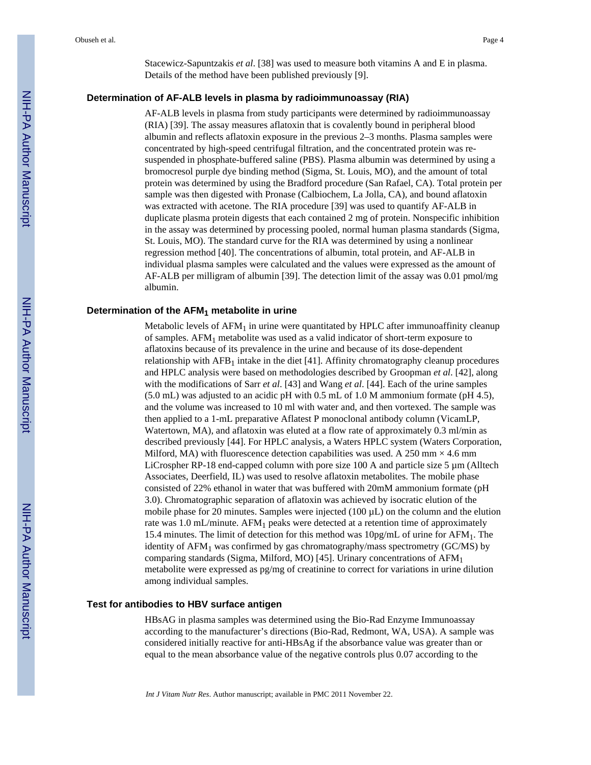Stacewicz-Sapuntzakis *et al*. [38] was used to measure both vitamins A and E in plasma. Details of the method have been published previously [9].

# **Determination of AF-ALB levels in plasma by radioimmunoassay (RIA)**

AF-ALB levels in plasma from study participants were determined by radioimmunoassay (RIA) [39]. The assay measures aflatoxin that is covalently bound in peripheral blood albumin and reflects aflatoxin exposure in the previous 2–3 months. Plasma samples were concentrated by high-speed centrifugal filtration, and the concentrated protein was resuspended in phosphate-buffered saline (PBS). Plasma albumin was determined by using a bromocresol purple dye binding method (Sigma, St. Louis, MO), and the amount of total protein was determined by using the Bradford procedure (San Rafael, CA). Total protein per sample was then digested with Pronase (Calbiochem, La Jolla, CA), and bound aflatoxin was extracted with acetone. The RIA procedure [39] was used to quantify AF-ALB in duplicate plasma protein digests that each contained 2 mg of protein. Nonspecific inhibition in the assay was determined by processing pooled, normal human plasma standards (Sigma, St. Louis, MO). The standard curve for the RIA was determined by using a nonlinear regression method [40]. The concentrations of albumin, total protein, and AF-ALB in individual plasma samples were calculated and the values were expressed as the amount of AF-ALB per milligram of albumin [39]. The detection limit of the assay was 0.01 pmol/mg albumin.

#### **Determination of the AFM1 metabolite in urine**

Metabolic levels of  $AFM<sub>1</sub>$  in urine were quantitated by HPLC after immunoaffinity cleanup of samples. AFM1 metabolite was used as a valid indicator of short-term exposure to aflatoxins because of its prevalence in the urine and because of its dose-dependent relationship with  $AFB<sub>1</sub>$  intake in the diet [41]. Affinity chromatography cleanup procedures and HPLC analysis were based on methodologies described by Groopman *et al*. [42], along with the modifications of Sarr *et al*. [43] and Wang *et al*. [44]. Each of the urine samples (5.0 mL) was adjusted to an acidic pH with 0.5 mL of 1.0 M ammonium formate (pH 4.5), and the volume was increased to 10 ml with water and, and then vortexed. The sample was then applied to a 1-mL preparative Aflatest P monoclonal antibody column (VicamLP, Watertown, MA), and aflatoxin was eluted at a flow rate of approximately 0.3 ml/min as described previously [44]. For HPLC analysis, a Waters HPLC system (Waters Corporation, Milford, MA) with fluorescence detection capabilities was used. A 250 mm  $\times$  4.6 mm LiCrospher RP-18 end-capped column with pore size 100 A and particle size 5  $\mu$ m (Alltech Associates, Deerfield, IL) was used to resolve aflatoxin metabolites. The mobile phase consisted of 22% ethanol in water that was buffered with 20mM ammonium formate (pH 3.0). Chromatographic separation of aflatoxin was achieved by isocratic elution of the mobile phase for 20 minutes. Samples were injected  $(100 \mu L)$  on the column and the elution rate was 1.0 mL/minute.  $AFM_1$  peaks were detected at a retention time of approximately 15.4 minutes. The limit of detection for this method was  $10pg/mL$  of urine for AFM<sub>1</sub>. The identity of  $AFM<sub>1</sub>$  was confirmed by gas chromatography/mass spectrometry (GC/MS) by comparing standards (Sigma, Milford, MO) [45]. Urinary concentrations of AFM<sup>1</sup> metabolite were expressed as pg/mg of creatinine to correct for variations in urine dilution among individual samples.

### **Test for antibodies to HBV surface antigen**

HBsAG in plasma samples was determined using the Bio-Rad Enzyme Immunoassay according to the manufacturer's directions (Bio-Rad, Redmont, WA, USA). A sample was considered initially reactive for anti-HBsAg if the absorbance value was greater than or equal to the mean absorbance value of the negative controls plus 0.07 according to the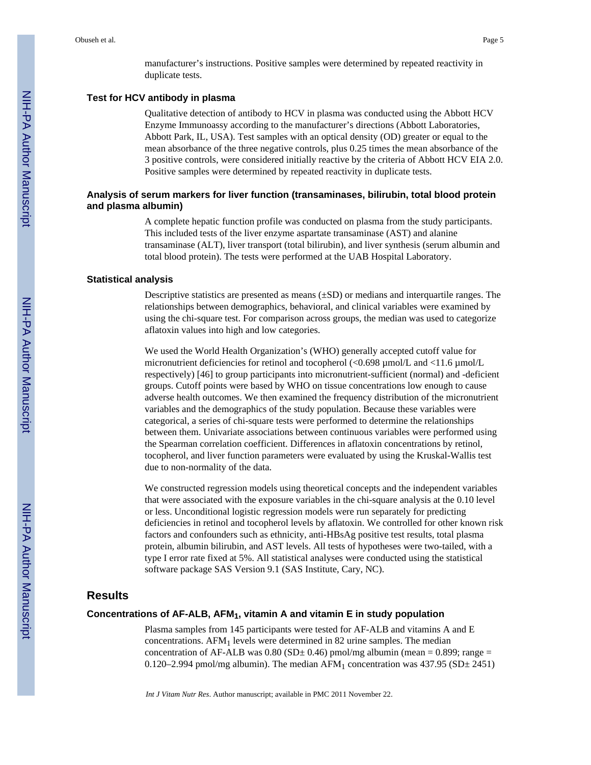# **Test for HCV antibody in plasma**

Qualitative detection of antibody to HCV in plasma was conducted using the Abbott HCV Enzyme Immunoassy according to the manufacturer's directions (Abbott Laboratories, Abbott Park, IL, USA). Test samples with an optical density (OD) greater or equal to the mean absorbance of the three negative controls, plus 0.25 times the mean absorbance of the 3 positive controls, were considered initially reactive by the criteria of Abbott HCV EIA 2.0. Positive samples were determined by repeated reactivity in duplicate tests.

# **Analysis of serum markers for liver function (transaminases, bilirubin, total blood protein and plasma albumin)**

A complete hepatic function profile was conducted on plasma from the study participants. This included tests of the liver enzyme aspartate transaminase (AST) and alanine transaminase (ALT), liver transport (total bilirubin), and liver synthesis (serum albumin and total blood protein). The tests were performed at the UAB Hospital Laboratory.

#### **Statistical analysis**

Descriptive statistics are presented as means  $(\pm SD)$  or medians and interquartile ranges. The relationships between demographics, behavioral, and clinical variables were examined by using the chi-square test. For comparison across groups, the median was used to categorize aflatoxin values into high and low categories.

We used the World Health Organization's (WHO) generally accepted cutoff value for micronutrient deficiencies for retinol and tocopherol (<0.698 µmol/L and <11.6 µmol/L respectively) [46] to group participants into micronutrient-sufficient (normal) and -deficient groups. Cutoff points were based by WHO on tissue concentrations low enough to cause adverse health outcomes. We then examined the frequency distribution of the micronutrient variables and the demographics of the study population. Because these variables were categorical, a series of chi-square tests were performed to determine the relationships between them. Univariate associations between continuous variables were performed using the Spearman correlation coefficient. Differences in aflatoxin concentrations by retinol, tocopherol, and liver function parameters were evaluated by using the Kruskal-Wallis test due to non-normality of the data.

We constructed regression models using theoretical concepts and the independent variables that were associated with the exposure variables in the chi-square analysis at the 0.10 level or less. Unconditional logistic regression models were run separately for predicting deficiencies in retinol and tocopherol levels by aflatoxin. We controlled for other known risk factors and confounders such as ethnicity, anti-HBsAg positive test results, total plasma protein, albumin bilirubin, and AST levels. All tests of hypotheses were two-tailed, with a type I error rate fixed at 5%. All statistical analyses were conducted using the statistical software package SAS Version 9.1 (SAS Institute, Cary, NC).

# **Results**

#### **Concentrations of AF-ALB, AFM1, vitamin A and vitamin E in study population**

Plasma samples from 145 participants were tested for AF-ALB and vitamins A and E concentrations.  $AFM<sub>1</sub>$  levels were determined in 82 urine samples. The median concentration of AF-ALB was 0.80 (SD $\pm$  0.46) pmol/mg albumin (mean = 0.899; range = 0.120–2.994 pmol/mg albumin). The median  $AFM_1$  concentration was 437.95 (SD $\pm$  2451)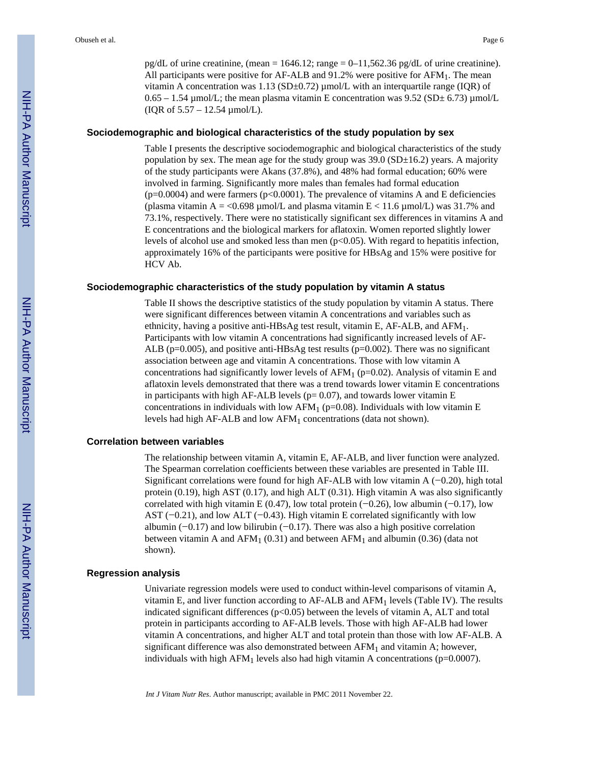pg/dL of urine creatinine, (mean =  $1646.12$ ; range =  $0-11,562.36$  pg/dL of urine creatinine). All participants were positive for AF-ALB and  $91.2\%$  were positive for AFM<sub>1</sub>. The mean vitamin A concentration was  $1.13$  (SD $\pm$ 0.72) µmol/L with an interquartile range (IQR) of  $0.65 - 1.54$  µmol/L; the mean plasma vitamin E concentration was  $9.52$  (SD $\pm$  6.73) µmol/L (IQR of  $5.57 - 12.54 \mu$ mol/L).

## **Sociodemographic and biological characteristics of the study population by sex**

Table I presents the descriptive sociodemographic and biological characteristics of the study population by sex. The mean age for the study group was  $39.0$  (SD $\pm$ 16.2) years. A majority of the study participants were Akans (37.8%), and 48% had formal education; 60% were involved in farming. Significantly more males than females had formal education  $(p=0.0004)$  and were farmers  $(p<0.0001)$ . The prevalence of vitamins A and E deficiencies (plasma vitamin A = <0.698 µmol/L and plasma vitamin  $E < 11.6$  µmol/L) was 31.7% and 73.1%, respectively. There were no statistically significant sex differences in vitamins A and E concentrations and the biological markers for aflatoxin. Women reported slightly lower levels of alcohol use and smoked less than men  $(p<0.05)$ . With regard to hepatitis infection, approximately 16% of the participants were positive for HBsAg and 15% were positive for HCV Ab.

#### **Sociodemographic characteristics of the study population by vitamin A status**

Table II shows the descriptive statistics of the study population by vitamin A status. There were significant differences between vitamin A concentrations and variables such as ethnicity, having a positive anti-HBsAg test result, vitamin E, AF-ALB, and AFM1. Participants with low vitamin A concentrations had significantly increased levels of AF-ALB ( $p=0.005$ ), and positive anti-HBsAg test results ( $p=0.002$ ). There was no significant association between age and vitamin A concentrations. Those with low vitamin A concentrations had significantly lower levels of  $AFM_1$  (p=0.02). Analysis of vitamin E and aflatoxin levels demonstrated that there was a trend towards lower vitamin E concentrations in participants with high AF-ALB levels ( $p= 0.07$ ), and towards lower vitamin E concentrations in individuals with low AFM<sub>1</sub> ( $p=0.08$ ). Individuals with low vitamin E levels had high AF-ALB and low AFM<sub>1</sub> concentrations (data not shown).

#### **Correlation between variables**

The relationship between vitamin A, vitamin E, AF-ALB, and liver function were analyzed. The Spearman correlation coefficients between these variables are presented in Table III. Significant correlations were found for high AF-ALB with low vitamin A (−0.20), high total protein  $(0.19)$ , high AST  $(0.17)$ , and high ALT  $(0.31)$ . High vitamin A was also significantly correlated with high vitamin E (0.47), low total protein (−0.26), low albumin (−0.17), low AST (−0.21), and low ALT (−0.43). High vitamin E correlated significantly with low albumin  $(-0.17)$  and low bilirubin  $(-0.17)$ . There was also a high positive correlation between vitamin A and  $AFM_1$  (0.31) and between  $AFM_1$  and albumin (0.36) (data not shown).

#### **Regression analysis**

Univariate regression models were used to conduct within-level comparisons of vitamin A, vitamin E, and liver function according to  $AF-ALB$  and  $AFM<sub>1</sub>$  levels (Table IV). The results indicated significant differences ( $p<0.05$ ) between the levels of vitamin A, ALT and total protein in participants according to AF-ALB levels. Those with high AF-ALB had lower vitamin A concentrations, and higher ALT and total protein than those with low AF-ALB. A significant difference was also demonstrated between  $AFM<sub>1</sub>$  and vitamin A; however, individuals with high AFM<sub>1</sub> levels also had high vitamin A concentrations (p= $0.0007$ ).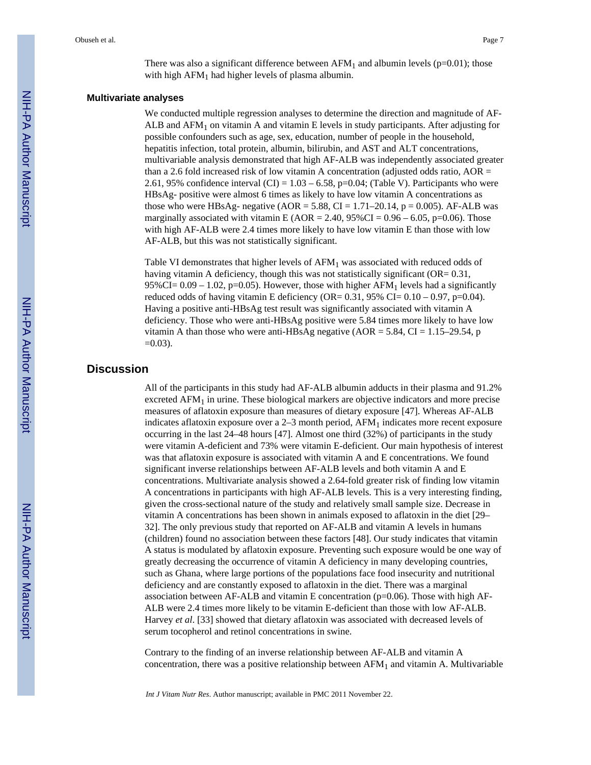There was also a significant difference between  $AFM<sub>1</sub>$  and albumin levels ( $p=0.01$ ); those with high  $AFM<sub>1</sub>$  had higher levels of plasma albumin.

#### **Multivariate analyses**

We conducted multiple regression analyses to determine the direction and magnitude of AF-ALB and  $AFM<sub>1</sub>$  on vitamin A and vitamin E levels in study participants. After adjusting for possible confounders such as age, sex, education, number of people in the household, hepatitis infection, total protein, albumin, bilirubin, and AST and ALT concentrations, multivariable analysis demonstrated that high AF-ALB was independently associated greater than a 2.6 fold increased risk of low vitamin A concentration (adjusted odds ratio, AOR = 2.61, 95% confidence interval (CI) =  $1.03 - 6.58$ , p=0.04; (Table V). Participants who were HBsAg- positive were almost 6 times as likely to have low vitamin A concentrations as those who were HBsAg- negative (AOR = 5.88, CI = 1.71–20.14,  $p = 0.005$ ). AF-ALB was marginally associated with vitamin E ( $AOR = 2.40$ ,  $95\%CI = 0.96 - 6.05$ ,  $p=0.06$ ). Those with high AF-ALB were 2.4 times more likely to have low vitamin E than those with low AF-ALB, but this was not statistically significant.

Table VI demonstrates that higher levels of  $AFM<sub>1</sub>$  was associated with reduced odds of having vitamin A deficiency, though this was not statistically significant (OR= 0.31, 95%CI=  $0.09 - 1.02$ , p=0.05). However, those with higher AFM<sub>1</sub> levels had a significantly reduced odds of having vitamin E deficiency (OR=  $0.31$ ,  $95\%$  CI=  $0.10 - 0.97$ , p=0.04). Having a positive anti-HBsAg test result was significantly associated with vitamin A deficiency. Those who were anti-HBsAg positive were 5.84 times more likely to have low vitamin A than those who were anti-HBsAg negative ( $AOR = 5.84$ ,  $CI = 1.15-29.54$ , p  $=0.03$ ).

# **Discussion**

All of the participants in this study had AF-ALB albumin adducts in their plasma and 91.2% excreted  $AFM<sub>1</sub>$  in urine. These biological markers are objective indicators and more precise measures of aflatoxin exposure than measures of dietary exposure [47]. Whereas AF-ALB indicates aflatoxin exposure over a  $2-3$  month period,  $AFM<sub>1</sub>$  indicates more recent exposure occurring in the last 24–48 hours [47]. Almost one third (32%) of participants in the study were vitamin A-deficient and 73% were vitamin E-deficient. Our main hypothesis of interest was that aflatoxin exposure is associated with vitamin A and E concentrations. We found significant inverse relationships between AF-ALB levels and both vitamin A and E concentrations. Multivariate analysis showed a 2.64-fold greater risk of finding low vitamin A concentrations in participants with high AF-ALB levels. This is a very interesting finding, given the cross-sectional nature of the study and relatively small sample size. Decrease in vitamin A concentrations has been shown in animals exposed to aflatoxin in the diet [29– 32]. The only previous study that reported on AF-ALB and vitamin A levels in humans (children) found no association between these factors [48]. Our study indicates that vitamin A status is modulated by aflatoxin exposure. Preventing such exposure would be one way of greatly decreasing the occurrence of vitamin A deficiency in many developing countries, such as Ghana, where large portions of the populations face food insecurity and nutritional deficiency and are constantly exposed to aflatoxin in the diet. There was a marginal association between AF-ALB and vitamin E concentration  $(p=0.06)$ . Those with high AF-ALB were 2.4 times more likely to be vitamin E-deficient than those with low AF-ALB. Harvey *et al*. [33] showed that dietary aflatoxin was associated with decreased levels of serum tocopherol and retinol concentrations in swine.

Contrary to the finding of an inverse relationship between AF-ALB and vitamin A concentration, there was a positive relationship between  $AFM<sub>1</sub>$  and vitamin A. Multivariable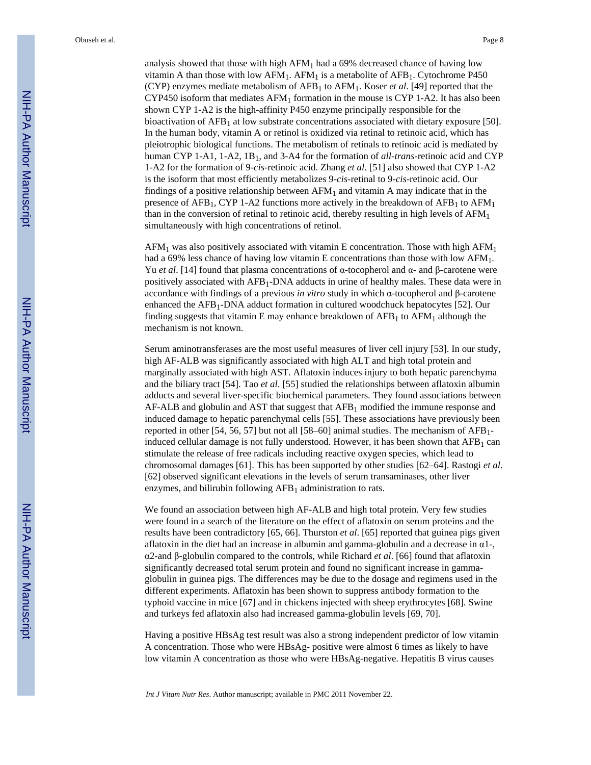analysis showed that those with high  $AFM<sub>1</sub>$  had a 69% decreased chance of having low vitamin A than those with low  $AFM_1$ . AFM<sub>1</sub> is a metabolite of AFB<sub>1</sub>. Cytochrome P450 (CYP) enzymes mediate metabolism of AFB1 to AFM1. Koser *et al*. [49] reported that the CYP450 isoform that mediates  $AFM<sub>1</sub>$  formation in the mouse is CYP 1-A2. It has also been shown CYP 1-A2 is the high-affinity P450 enzyme principally responsible for the bioactivation of AFB<sub>1</sub> at low substrate concentrations associated with dietary exposure [50]. In the human body, vitamin A or retinol is oxidized via retinal to retinoic acid, which has pleiotrophic biological functions. The metabolism of retinals to retinoic acid is mediated by human CYP 1-A1, 1-A2, 1B1, and 3-A4 for the formation of *all*-*trans*-retinoic acid and CYP 1-A2 for the formation of 9-*cis*-retinoic acid. Zhang *et al*. [51] also showed that CYP 1-A2 is the isoform that most efficiently metabolizes 9-*cis*-retinal to 9-*cis*-retinoic acid. Our findings of a positive relationship between  $AFM<sub>1</sub>$  and vitamin A may indicate that in the presence of AFB<sub>1</sub>, CYP 1-A2 functions more actively in the breakdown of AFB<sub>1</sub> to AFM<sub>1</sub> than in the conversion of retinal to retinoic acid, thereby resulting in high levels of  $AFM<sub>1</sub>$ simultaneously with high concentrations of retinol.

 $AFM<sub>1</sub>$  was also positively associated with vitamin E concentration. Those with high  $AFM<sub>1</sub>$ had a 69% less chance of having low vitamin E concentrations than those with low AFM1. Yu *et al.* [14] found that plasma concentrations of α-tocopherol and  $α$ - and β-carotene were positively associated with AFB1-DNA adducts in urine of healthy males. These data were in accordance with findings of a previous *in vitro* study in which α-tocopherol and β-carotene enhanced the AFB1-DNA adduct formation in cultured woodchuck hepatocytes [52]. Our finding suggests that vitamin E may enhance breakdown of  $AFB<sub>1</sub>$  to  $AFM<sub>1</sub>$  although the mechanism is not known.

Serum aminotransferases are the most useful measures of liver cell injury [53]. In our study, high AF-ALB was significantly associated with high ALT and high total protein and marginally associated with high AST. Aflatoxin induces injury to both hepatic parenchyma and the biliary tract [54]. Tao *et al*. [55] studied the relationships between aflatoxin albumin adducts and several liver-specific biochemical parameters. They found associations between  $AF-ALB$  and globulin and  $AST$  that suggest that  $AFB<sub>1</sub>$  modified the immune response and induced damage to hepatic parenchymal cells [55]. These associations have previously been reported in other [54, 56, 57] but not all [58–60] animal studies. The mechanism of  $AFB_1$ induced cellular damage is not fully understood. However, it has been shown that  $AFB<sub>1</sub>$  can stimulate the release of free radicals including reactive oxygen species, which lead to chromosomal damages [61]. This has been supported by other studies [62–64]. Rastogi *et al*. [62] observed significant elevations in the levels of serum transaminases, other liver enzymes, and bilirubin following  $AFB<sub>1</sub>$  administration to rats.

We found an association between high AF-ALB and high total protein. Very few studies were found in a search of the literature on the effect of aflatoxin on serum proteins and the results have been contradictory [65, 66]. Thurston *et al*. [65] reported that guinea pigs given aflatoxin in the diet had an increase in albumin and gamma-globulin and a decrease in  $\alpha$ 1-, α2-and β-globulin compared to the controls, while Richard *et al*. [66] found that aflatoxin significantly decreased total serum protein and found no significant increase in gammaglobulin in guinea pigs. The differences may be due to the dosage and regimens used in the different experiments. Aflatoxin has been shown to suppress antibody formation to the typhoid vaccine in mice [67] and in chickens injected with sheep erythrocytes [68]. Swine and turkeys fed aflatoxin also had increased gamma-globulin levels [69, 70].

Having a positive HBsAg test result was also a strong independent predictor of low vitamin A concentration. Those who were HBsAg- positive were almost 6 times as likely to have low vitamin A concentration as those who were HBsAg-negative. Hepatitis B virus causes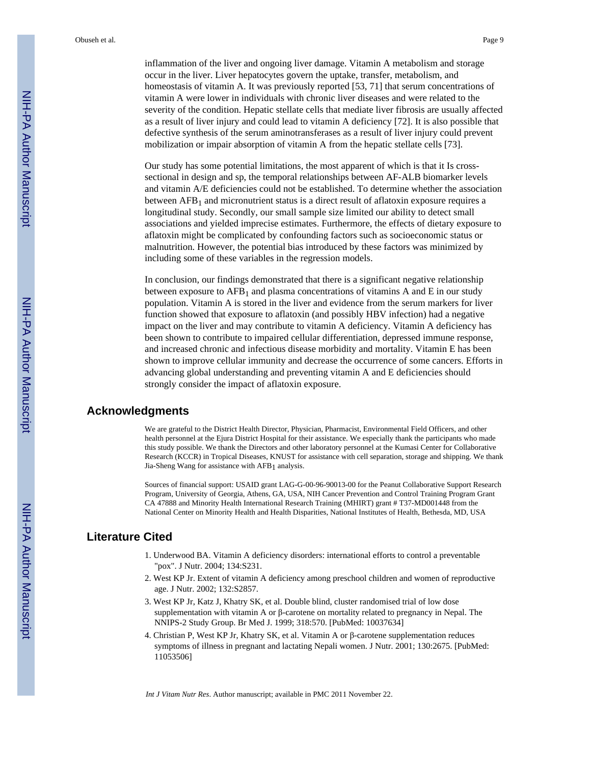inflammation of the liver and ongoing liver damage. Vitamin A metabolism and storage occur in the liver. Liver hepatocytes govern the uptake, transfer, metabolism, and homeostasis of vitamin A. It was previously reported [53, 71] that serum concentrations of vitamin A were lower in individuals with chronic liver diseases and were related to the severity of the condition. Hepatic stellate cells that mediate liver fibrosis are usually affected as a result of liver injury and could lead to vitamin A deficiency [72]. It is also possible that defective synthesis of the serum aminotransferases as a result of liver injury could prevent mobilization or impair absorption of vitamin A from the hepatic stellate cells [73].

Our study has some potential limitations, the most apparent of which is that it Is crosssectional in design and sp, the temporal relationships between AF-ALB biomarker levels and vitamin A/E deficiencies could not be established. To determine whether the association between  $AFB<sub>1</sub>$  and micronutrient status is a direct result of aflatoxin exposure requires a longitudinal study. Secondly, our small sample size limited our ability to detect small associations and yielded imprecise estimates. Furthermore, the effects of dietary exposure to aflatoxin might be complicated by confounding factors such as socioeconomic status or malnutrition. However, the potential bias introduced by these factors was minimized by including some of these variables in the regression models.

In conclusion, our findings demonstrated that there is a significant negative relationship between exposure to  $AFB_1$  and plasma concentrations of vitamins A and E in our study population. Vitamin A is stored in the liver and evidence from the serum markers for liver function showed that exposure to aflatoxin (and possibly HBV infection) had a negative impact on the liver and may contribute to vitamin A deficiency. Vitamin A deficiency has been shown to contribute to impaired cellular differentiation, depressed immune response, and increased chronic and infectious disease morbidity and mortality. Vitamin E has been shown to improve cellular immunity and decrease the occurrence of some cancers. Efforts in advancing global understanding and preventing vitamin A and E deficiencies should strongly consider the impact of aflatoxin exposure.

# **Acknowledgments**

We are grateful to the District Health Director, Physician, Pharmacist, Environmental Field Officers, and other health personnel at the Ejura District Hospital for their assistance. We especially thank the participants who made this study possible. We thank the Directors and other laboratory personnel at the Kumasi Center for Collaborative Research (KCCR) in Tropical Diseases, KNUST for assistance with cell separation, storage and shipping. We thank Jia-Sheng Wang for assistance with AFB<sub>1</sub> analysis.

Sources of financial support: USAID grant LAG-G-00-96-90013-00 for the Peanut Collaborative Support Research Program, University of Georgia, Athens, GA, USA, NIH Cancer Prevention and Control Training Program Grant CA 47888 and Minority Health International Research Training (MHIRT) grant # T37-MD001448 from the National Center on Minority Health and Health Disparities, National Institutes of Health, Bethesda, MD, USA

# **Literature Cited**

- 1. Underwood BA. Vitamin A deficiency disorders: international efforts to control a preventable "pox". J Nutr. 2004; 134:S231.
- 2. West KP Jr. Extent of vitamin A deficiency among preschool children and women of reproductive age. J Nutr. 2002; 132:S2857.
- 3. West KP Jr, Katz J, Khatry SK, et al. Double blind, cluster randomised trial of low dose supplementation with vitamin A or β-carotene on mortality related to pregnancy in Nepal. The NNIPS-2 Study Group. Br Med J. 1999; 318:570. [PubMed: 10037634]
- 4. Christian P, West KP Jr, Khatry SK, et al. Vitamin A or β-carotene supplementation reduces symptoms of illness in pregnant and lactating Nepali women. J Nutr. 2001; 130:2675. [PubMed: 11053506]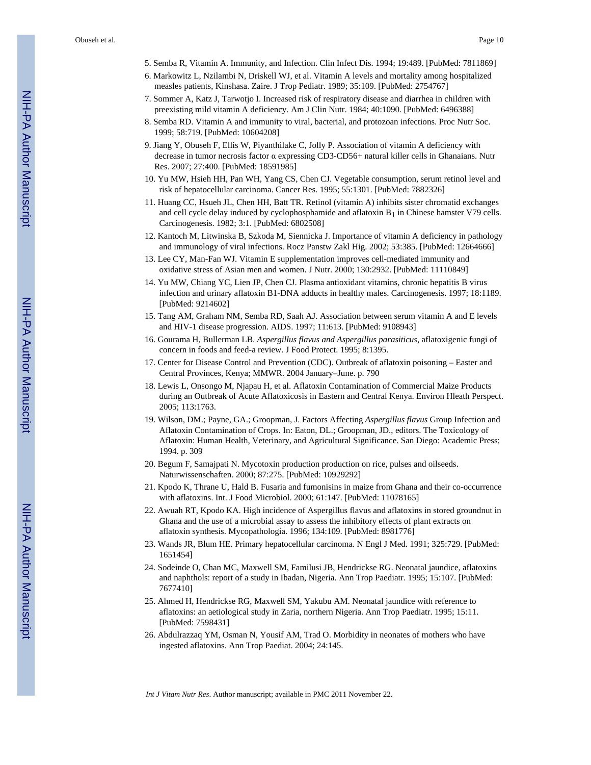- 5. Semba R, Vitamin A. Immunity, and Infection. Clin Infect Dis. 1994; 19:489. [PubMed: 7811869]
- 6. Markowitz L, Nzilambi N, Driskell WJ, et al. Vitamin A levels and mortality among hospitalized measles patients, Kinshasa. Zaire. J Trop Pediatr. 1989; 35:109. [PubMed: 2754767]
- 7. Sommer A, Katz J, Tarwotjo I. Increased risk of respiratory disease and diarrhea in children with preexisting mild vitamin A deficiency. Am J Clin Nutr. 1984; 40:1090. [PubMed: 6496388]
- 8. Semba RD. Vitamin A and immunity to viral, bacterial, and protozoan infections. Proc Nutr Soc. 1999; 58:719. [PubMed: 10604208]
- 9. Jiang Y, Obuseh F, Ellis W, Piyanthilake C, Jolly P. Association of vitamin A deficiency with decrease in tumor necrosis factor α expressing CD3-CD56+ natural killer cells in Ghanaians. Nutr Res. 2007; 27:400. [PubMed: 18591985]
- 10. Yu MW, Hsieh HH, Pan WH, Yang CS, Chen CJ. Vegetable consumption, serum retinol level and risk of hepatocellular carcinoma. Cancer Res. 1995; 55:1301. [PubMed: 7882326]
- 11. Huang CC, Hsueh JL, Chen HH, Batt TR. Retinol (vitamin A) inhibits sister chromatid exchanges and cell cycle delay induced by cyclophosphamide and aflatoxin  $B_1$  in Chinese hamster V79 cells. Carcinogenesis. 1982; 3:1. [PubMed: 6802508]
- 12. Kantoch M, Litwinska B, Szkoda M, Siennicka J. Importance of vitamin A deficiency in pathology and immunology of viral infections. Rocz Panstw Zakl Hig. 2002; 53:385. [PubMed: 12664666]
- 13. Lee CY, Man-Fan WJ. Vitamin E supplementation improves cell-mediated immunity and oxidative stress of Asian men and women. J Nutr. 2000; 130:2932. [PubMed: 11110849]
- 14. Yu MW, Chiang YC, Lien JP, Chen CJ. Plasma antioxidant vitamins, chronic hepatitis B virus infection and urinary aflatoxin B1-DNA adducts in healthy males. Carcinogenesis. 1997; 18:1189. [PubMed: 9214602]
- 15. Tang AM, Graham NM, Semba RD, Saah AJ. Association between serum vitamin A and E levels and HIV-1 disease progression. AIDS. 1997; 11:613. [PubMed: 9108943]
- 16. Gourama H, Bullerman LB. *Aspergillus flavus and Aspergillus parasiticus*, aflatoxigenic fungi of concern in foods and feed-a review. J Food Protect. 1995; 8:1395.
- 17. Center for Disease Control and Prevention (CDC). Outbreak of aflatoxin poisoning Easter and Central Provinces, Kenya; MMWR. 2004 January–June. p. 790
- 18. Lewis L, Onsongo M, Njapau H, et al. Aflatoxin Contamination of Commercial Maize Products during an Outbreak of Acute Aflatoxicosis in Eastern and Central Kenya. Environ Hleath Perspect. 2005; 113:1763.
- 19. Wilson, DM.; Payne, GA.; Groopman, J. Factors Affecting *Aspergillus flavus* Group Infection and Aflatoxin Contamination of Crops. In: Eaton, DL.; Groopman, JD., editors. The Toxicology of Aflatoxin: Human Health, Veterinary, and Agricultural Significance. San Diego: Academic Press; 1994. p. 309
- 20. Begum F, Samajpati N. Mycotoxin production production on rice, pulses and oilseeds. Naturwissenschaften. 2000; 87:275. [PubMed: 10929292]
- 21. Kpodo K, Thrane U, Hald B. Fusaria and fumonisins in maize from Ghana and their co-occurrence with aflatoxins. Int. J Food Microbiol. 2000; 61:147. [PubMed: 11078165]
- 22. Awuah RT, Kpodo KA. High incidence of Aspergillus flavus and aflatoxins in stored groundnut in Ghana and the use of a microbial assay to assess the inhibitory effects of plant extracts on aflatoxin synthesis. Mycopathologia. 1996; 134:109. [PubMed: 8981776]
- 23. Wands JR, Blum HE. Primary hepatocellular carcinoma. N Engl J Med. 1991; 325:729. [PubMed: 1651454]
- 24. Sodeinde O, Chan MC, Maxwell SM, Familusi JB, Hendrickse RG. Neonatal jaundice, aflatoxins and naphthols: report of a study in Ibadan, Nigeria. Ann Trop Paediatr. 1995; 15:107. [PubMed: 7677410]
- 25. Ahmed H, Hendrickse RG, Maxwell SM, Yakubu AM. Neonatal jaundice with reference to aflatoxins: an aetiological study in Zaria, northern Nigeria. Ann Trop Paediatr. 1995; 15:11. [PubMed: 7598431]
- 26. Abdulrazzaq YM, Osman N, Yousif AM, Trad O. Morbidity in neonates of mothers who have ingested aflatoxins. Ann Trop Paediat. 2004; 24:145.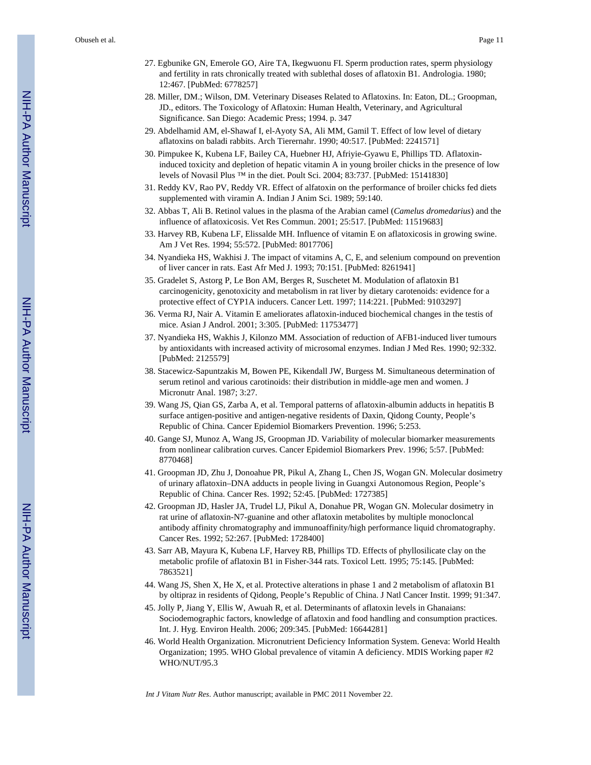- 27. Egbunike GN, Emerole GO, Aire TA, Ikegwuonu FI. Sperm production rates, sperm physiology and fertility in rats chronically treated with sublethal doses of aflatoxin B1. Andrologia. 1980; 12:467. [PubMed: 6778257]
- 28. Miller, DM.; Wilson, DM. Veterinary Diseases Related to Aflatoxins. In: Eaton, DL.; Groopman, JD., editors. The Toxicology of Aflatoxin: Human Health, Veterinary, and Agricultural Significance. San Diego: Academic Press; 1994. p. 347
- 29. Abdelhamid AM, el-Shawaf I, el-Ayoty SA, Ali MM, Gamil T. Effect of low level of dietary aflatoxins on baladi rabbits. Arch Tierernahr. 1990; 40:517. [PubMed: 2241571]
- 30. Pimpukee K, Kubena LF, Bailey CA, Huebner HJ, Afriyie-Gyawu E, Phillips TD. Aflatoxininduced toxicity and depletion of hepatic vitamin A in young broiler chicks in the presence of low levels of Novasil Plus ™ in the diet. Poult Sci. 2004; 83:737. [PubMed: 15141830]
- 31. Reddy KV, Rao PV, Reddy VR. Effect of alfatoxin on the performance of broiler chicks fed diets supplemented with viramin A. Indian J Anim Sci. 1989; 59:140.
- 32. Abbas T, Ali B. Retinol values in the plasma of the Arabian camel (*Camelus dromedarius*) and the influence of aflatoxicosis. Vet Res Commun. 2001; 25:517. [PubMed: 11519683]
- 33. Harvey RB, Kubena LF, Elissalde MH. Influence of vitamin E on aflatoxicosis in growing swine. Am J Vet Res. 1994; 55:572. [PubMed: 8017706]
- 34. Nyandieka HS, Wakhisi J. The impact of vitamins A, C, E, and selenium compound on prevention of liver cancer in rats. East Afr Med J. 1993; 70:151. [PubMed: 8261941]
- 35. Gradelet S, Astorg P, Le Bon AM, Berges R, Suschetet M. Modulation of aflatoxin B1 carcinogenicity, genotoxicity and metabolism in rat liver by dietary carotenoids: evidence for a protective effect of CYP1A inducers. Cancer Lett. 1997; 114:221. [PubMed: 9103297]
- 36. Verma RJ, Nair A. Vitamin E ameliorates aflatoxin-induced biochemical changes in the testis of mice. Asian J Androl. 2001; 3:305. [PubMed: 11753477]
- 37. Nyandieka HS, Wakhis J, Kilonzo MM. Association of reduction of AFB1-induced liver tumours by antioxidants with increased activity of microsomal enzymes. Indian J Med Res. 1990; 92:332. [PubMed: 2125579]
- 38. Stacewicz-Sapuntzakis M, Bowen PE, Kikendall JW, Burgess M. Simultaneous determination of serum retinol and various carotinoids: their distribution in middle-age men and women. J Micronutr Anal. 1987; 3:27.
- 39. Wang JS, Qian GS, Zarba A, et al. Temporal patterns of aflatoxin-albumin adducts in hepatitis B surface antigen-positive and antigen-negative residents of Daxin, Qidong County, People's Republic of China. Cancer Epidemiol Biomarkers Prevention. 1996; 5:253.
- 40. Gange SJ, Munoz A, Wang JS, Groopman JD. Variability of molecular biomarker measurements from nonlinear calibration curves. Cancer Epidemiol Biomarkers Prev. 1996; 5:57. [PubMed: 8770468]
- 41. Groopman JD, Zhu J, Donoahue PR, Pikul A, Zhang L, Chen JS, Wogan GN. Molecular dosimetry of urinary aflatoxin–DNA adducts in people living in Guangxi Autonomous Region, People's Republic of China. Cancer Res. 1992; 52:45. [PubMed: 1727385]
- 42. Groopman JD, Hasler JA, Trudel LJ, Pikul A, Donahue PR, Wogan GN. Molecular dosimetry in rat urine of aflatoxin-N7-guanine and other aflatoxin metabolites by multiple monocloncal antibody affinity chromatography and immunoaffinity/high performance liquid chromatography. Cancer Res. 1992; 52:267. [PubMed: 1728400]
- 43. Sarr AB, Mayura K, Kubena LF, Harvey RB, Phillips TD. Effects of phyllosilicate clay on the metabolic profile of aflatoxin B1 in Fisher-344 rats. Toxicol Lett. 1995; 75:145. [PubMed: 7863521]
- 44. Wang JS, Shen X, He X, et al. Protective alterations in phase 1 and 2 metabolism of aflatoxin B1 by oltipraz in residents of Qidong, People's Republic of China. J Natl Cancer Instit. 1999; 91:347.
- 45. Jolly P, Jiang Y, Ellis W, Awuah R, et al. Determinants of aflatoxin levels in Ghanaians: Sociodemographic factors, knowledge of aflatoxin and food handling and consumption practices. Int. J. Hyg. Environ Health. 2006; 209:345. [PubMed: 16644281]
- 46. World Health Organization. Micronutrient Deficiency Information System. Geneva: World Health Organization; 1995. WHO Global prevalence of vitamin A deficiency. MDIS Working paper #2 WHO/NUT/95.3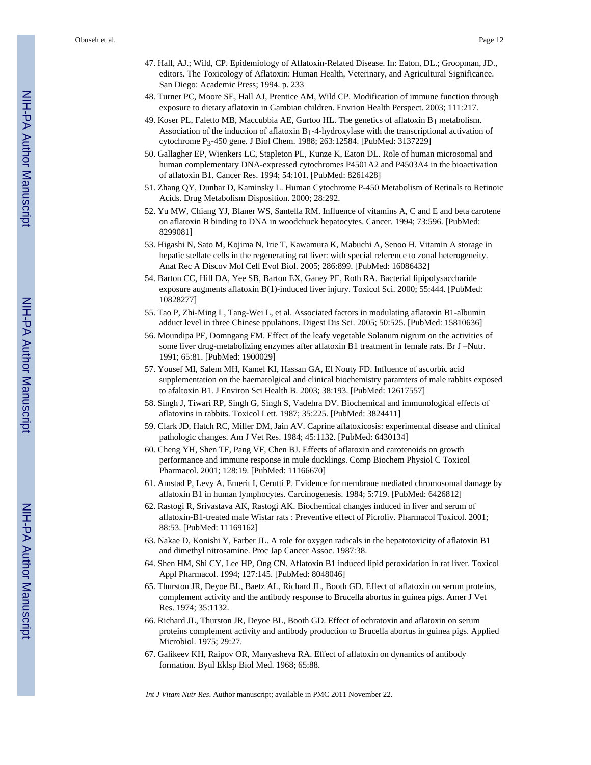- 47. Hall, AJ.; Wild, CP. Epidemiology of Aflatoxin-Related Disease. In: Eaton, DL.; Groopman, JD., editors. The Toxicology of Aflatoxin: Human Health, Veterinary, and Agricultural Significance. San Diego: Academic Press; 1994. p. 233
- 48. Turner PC, Moore SE, Hall AJ, Prentice AM, Wild CP. Modification of immune function through exposure to dietary aflatoxin in Gambian children. Envrion Health Perspect. 2003; 111:217.
- 49. Koser PL, Faletto MB, Maccubbia AE, Gurtoo HL. The genetics of aflatoxin B1 metabolism. Association of the induction of aflatoxin  $B_1$ -4-hydroxylase with the transcriptional activation of cytochrome P3-450 gene. J Biol Chem. 1988; 263:12584. [PubMed: 3137229]
- 50. Gallagher EP, Wienkers LC, Stapleton PL, Kunze K, Eaton DL. Role of human microsomal and human complementary DNA-expressed cytochromes P4501A2 and P4503A4 in the bioactivation of aflatoxin B1. Cancer Res. 1994; 54:101. [PubMed: 8261428]
- 51. Zhang QY, Dunbar D, Kaminsky L. Human Cytochrome P-450 Metabolism of Retinals to Retinoic Acids. Drug Metabolism Disposition. 2000; 28:292.
- 52. Yu MW, Chiang YJ, Blaner WS, Santella RM. Influence of vitamins A, C and E and beta carotene on aflatoxin B binding to DNA in woodchuck hepatocytes. Cancer. 1994; 73:596. [PubMed: 8299081]
- 53. Higashi N, Sato M, Kojima N, Irie T, Kawamura K, Mabuchi A, Senoo H. Vitamin A storage in hepatic stellate cells in the regenerating rat liver: with special reference to zonal heterogeneity. Anat Rec A Discov Mol Cell Evol Biol. 2005; 286:899. [PubMed: 16086432]
- 54. Barton CC, Hill DA, Yee SB, Barton EX, Ganey PE, Roth RA. Bacterial lipipolysaccharide exposure augments aflatoxin B(1)-induced liver injury. Toxicol Sci. 2000; 55:444. [PubMed: 10828277]
- 55. Tao P, Zhi-Ming L, Tang-Wei L, et al. Associated factors in modulating aflatoxin B1-albumin adduct level in three Chinese ppulations. Digest Dis Sci. 2005; 50:525. [PubMed: 15810636]
- 56. Moundipa PF, Domngang FM. Effect of the leafy vegetable Solanum nigrum on the activities of some liver drug-metabolizing enzymes after aflatoxin B1 treatment in female rats. Br J –Nutr. 1991; 65:81. [PubMed: 1900029]
- 57. Yousef MI, Salem MH, Kamel KI, Hassan GA, El Nouty FD. Influence of ascorbic acid supplementation on the haematolgical and clinical biochemistry paramters of male rabbits exposed to afaltoxin B1. J Environ Sci Health B. 2003; 38:193. [PubMed: 12617557]
- 58. Singh J, Tiwari RP, Singh G, Singh S, Vadehra DV. Biochemical and immunological effects of aflatoxins in rabbits. Toxicol Lett. 1987; 35:225. [PubMed: 3824411]
- 59. Clark JD, Hatch RC, Miller DM, Jain AV. Caprine aflatoxicosis: experimental disease and clinical pathologic changes. Am J Vet Res. 1984; 45:1132. [PubMed: 6430134]
- 60. Cheng YH, Shen TF, Pang VF, Chen BJ. Effects of aflatoxin and carotenoids on growth performance and immune response in mule ducklings. Comp Biochem Physiol C Toxicol Pharmacol. 2001; 128:19. [PubMed: 11166670]
- 61. Amstad P, Levy A, Emerit I, Cerutti P. Evidence for membrane mediated chromosomal damage by aflatoxin B1 in human lymphocytes. Carcinogenesis. 1984; 5:719. [PubMed: 6426812]
- 62. Rastogi R, Srivastava AK, Rastogi AK. Biochemical changes induced in liver and serum of aflatoxin-B1-treated male Wistar rats : Preventive effect of Picroliv. Pharmacol Toxicol. 2001; 88:53. [PubMed: 11169162]
- 63. Nakae D, Konishi Y, Farber JL. A role for oxygen radicals in the hepatotoxicity of aflatoxin B1 and dimethyl nitrosamine. Proc Jap Cancer Assoc. 1987:38.
- 64. Shen HM, Shi CY, Lee HP, Ong CN. Aflatoxin B1 induced lipid peroxidation in rat liver. Toxicol Appl Pharmacol. 1994; 127:145. [PubMed: 8048046]
- 65. Thurston JR, Deyoe BL, Baetz AL, Richard JL, Booth GD. Effect of aflatoxin on serum proteins, complement activity and the antibody response to Brucella abortus in guinea pigs. Amer J Vet Res. 1974; 35:1132.
- 66. Richard JL, Thurston JR, Deyoe BL, Booth GD. Effect of ochratoxin and aflatoxin on serum proteins complement activity and antibody production to Brucella abortus in guinea pigs. Applied Microbiol. 1975; 29:27.
- 67. Galikeev KH, Raipov OR, Manyasheva RA. Effect of aflatoxin on dynamics of antibody formation. Byul Eklsp Biol Med. 1968; 65:88.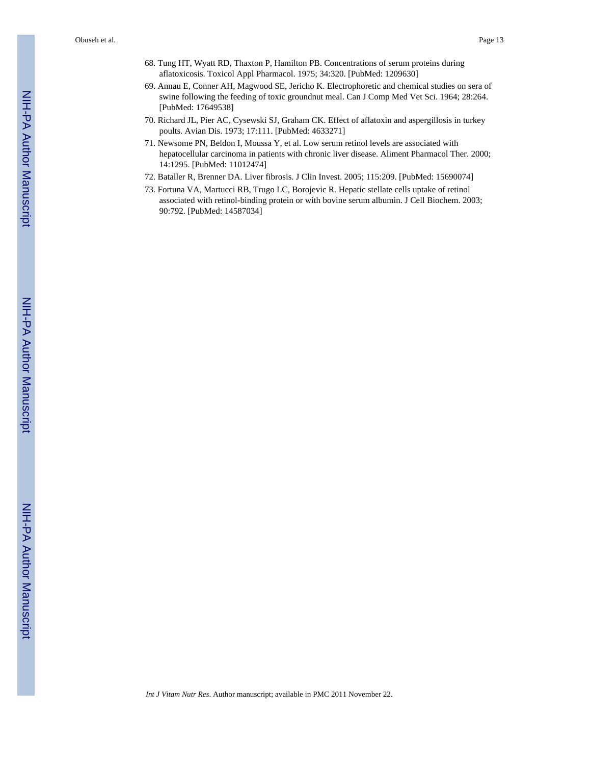- 68. Tung HT, Wyatt RD, Thaxton P, Hamilton PB. Concentrations of serum proteins during aflatoxicosis. Toxicol Appl Pharmacol. 1975; 34:320. [PubMed: 1209630]
- 69. Annau E, Conner AH, Magwood SE, Jericho K. Electrophoretic and chemical studies on sera of swine following the feeding of toxic groundnut meal. Can J Comp Med Vet Sci. 1964; 28:264. [PubMed: 17649538]
- 70. Richard JL, Pier AC, Cysewski SJ, Graham CK. Effect of aflatoxin and aspergillosis in turkey poults. Avian Dis. 1973; 17:111. [PubMed: 4633271]
- 71. Newsome PN, Beldon I, Moussa Y, et al. Low serum retinol levels are associated with hepatocellular carcinoma in patients with chronic liver disease. Aliment Pharmacol Ther. 2000; 14:1295. [PubMed: 11012474]
- 72. Bataller R, Brenner DA. Liver fibrosis. J Clin Invest. 2005; 115:209. [PubMed: 15690074]
- 73. Fortuna VA, Martucci RB, Trugo LC, Borojevic R. Hepatic stellate cells uptake of retinol associated with retinol-binding protein or with bovine serum albumin. J Cell Biochem. 2003; 90:792. [PubMed: 14587034]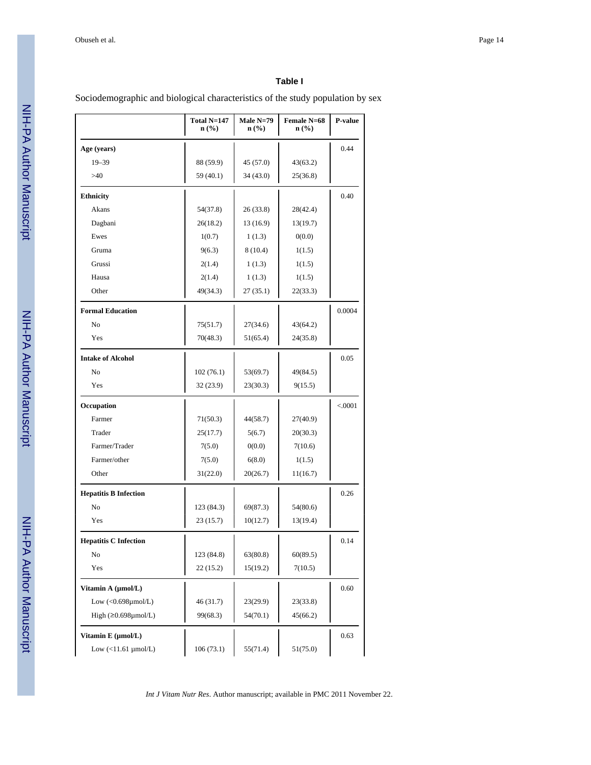# **Table I**

Sociodemographic and biological characteristics of the study population by sex

|                              | Total N=147<br>$\mathbf{n}(\%)$ | Male N=79<br>$n$ (%) | Female N=68<br>$n\left(\frac{0}{0}\right)$ | P-value  |
|------------------------------|---------------------------------|----------------------|--------------------------------------------|----------|
| Age (years)                  |                                 |                      |                                            | 0.44     |
| $19 - 39$                    | 88 (59.9)                       | 45(57.0)             | 43(63.2)                                   |          |
| >40                          | 59 (40.1)                       | 34 (43.0)            | 25(36.8)                                   |          |
| <b>Ethnicity</b>             |                                 |                      |                                            | 0.40     |
| Akans                        | 54(37.8)                        | 26 (33.8)            | 28(42.4)                                   |          |
| Dagbani                      | 26(18.2)                        | 13 (16.9)            | 13(19.7)                                   |          |
| Ewes                         | 1(0.7)                          | 1(1.3)               | 0(0.0)                                     |          |
| Gruma                        | 9(6.3)                          | 8(10.4)              | 1(1.5)                                     |          |
| Grussi                       | 2(1.4)                          | 1(1.3)               | 1(1.5)                                     |          |
| Hausa                        | 2(1.4)                          | 1(1.3)               | 1(1.5)                                     |          |
| Other                        | 49(34.3)                        | 27 (35.1)            | 22(33.3)                                   |          |
| <b>Formal Education</b>      |                                 |                      |                                            | 0.0004   |
| No                           | 75(51.7)                        | 27(34.6)             | 43(64.2)                                   |          |
| Yes                          | 70(48.3)                        | 51(65.4)             | 24(35.8)                                   |          |
| <b>Intake of Alcohol</b>     |                                 |                      |                                            | 0.05     |
| No                           | 102(76.1)                       | 53(69.7)             | 49(84.5)                                   |          |
| Yes                          | 32(23.9)                        | 23(30.3)             | 9(15.5)                                    |          |
| Occupation                   |                                 |                      |                                            | < 0.0001 |
| Farmer                       | 71(50.3)                        | 44(58.7)             | 27(40.9)                                   |          |
| Trader                       | 25(17.7)                        | 5(6.7)               | 20(30.3)                                   |          |
| Farmer/Trader                | 7(5.0)                          | 0(0.0)               | 7(10.6)                                    |          |
| Farmer/other                 | 7(5.0)                          | 6(8.0)               | 1(1.5)                                     |          |
| Other                        | 31(22.0)                        | 20(26.7)             | 11(16.7)                                   |          |
| <b>Hepatitis B Infection</b> |                                 |                      |                                            | 0.26     |
| No                           | 123 (84.3)                      | 69(87.3)             | 54(80.6)                                   |          |
| Yes                          | 23 (15.7)                       | 10(12.7)             | 13(19.4)                                   |          |
| <b>Hepatitis C Infection</b> |                                 |                      |                                            | 0.14     |
| No                           | 123 (84.8)                      | 63(80.8)             | 60(89.5)                                   |          |
| Yes                          | 22 (15.2)                       | 15(19.2)             | 7(10.5)                                    |          |
| Vitamin A (µmol/L)           |                                 |                      |                                            | 0.60     |
| Low $(<0.698 \mu mol/L)$     | 46 (31.7)                       | 23(29.9)             | 23(33.8)                                   |          |
| High $(≥0.698µmol/L)$        | 99(68.3)                        | 54(70.1)             | 45(66.2)                                   |          |
| Vitamin E (µmol/L)           |                                 |                      |                                            | 0.63     |
| Low $(<11.61 \mu$ mol/L)     | 106(73.1)                       | 55(71.4)             | 51(75.0)                                   |          |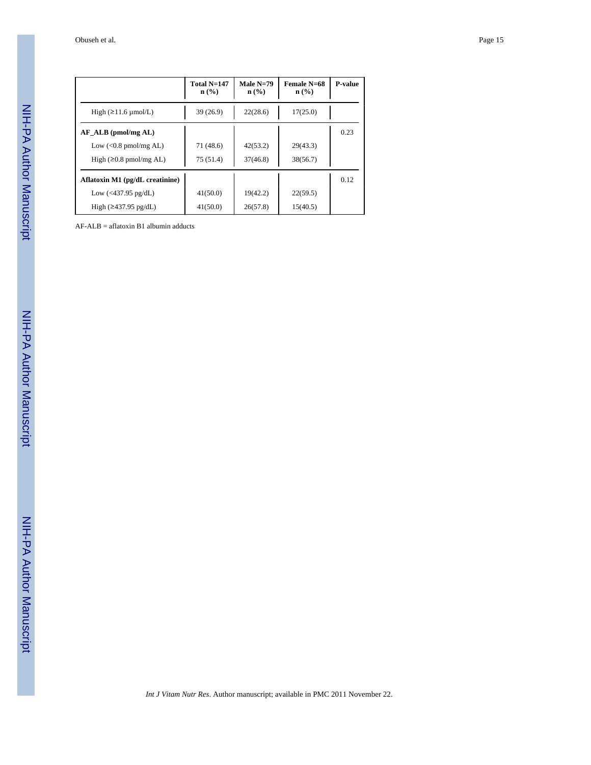|                                      | Total N=147<br>$\mathbf{n}(\%)$ | Male $N=79$<br>$n$ (%) | Female N=68<br>$\mathbf{n}(\%)$ | P-value |
|--------------------------------------|---------------------------------|------------------------|---------------------------------|---------|
| High $(\geq 11.6 \mu \text{mol/L})$  | 39(26.9)                        | 22(28.6)               | 17(25.0)                        |         |
| $AF\_ALB$ (pmol/mg $AL$ )            |                                 |                        |                                 | 0.23    |
| Low $(<0.8 \text{ pmol/mg AL})$      | 71 (48.6)                       | 42(53.2)               | 29(43.3)                        |         |
| High $(\geq 0.8 \text{ pmol/mg AL})$ | 75(51.4)                        | 37(46.8)               | 38(56.7)                        |         |
| Aflatoxin M1 (pg/dL creatinine)      |                                 |                        |                                 | 0.12    |
| Low $(<\!\!437.95 \text{ pg/dL})$    | 41(50.0)                        | 19(42.2)               | 22(59.5)                        |         |
| High $(\geq 437.95 \text{ pg/dL})$   | 41(50.0)                        | 26(57.8)               | 15(40.5)                        |         |

AF-ALB = aflatoxin B1 albumin adducts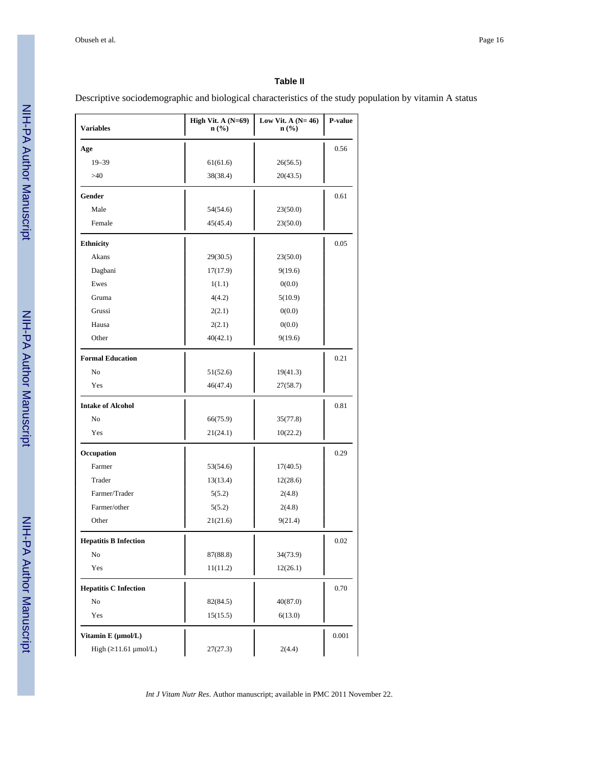# **Table II**

Descriptive sociodemographic and biological characteristics of the study population by vitamin A status

| <b>Variables</b>             | High Vit. A $(N=69)$<br>$\mathbf{n}(\%)$ | Low Vit. A $(N=46)$<br>$\mathbf{n}(\%)$ | P-value |
|------------------------------|------------------------------------------|-----------------------------------------|---------|
| Age                          |                                          |                                         | 0.56    |
| $19 - 39$                    | 61(61.6)                                 | 26(56.5)                                |         |
| >40                          | 38(38.4)                                 | 20(43.5)                                |         |
| Gender                       |                                          |                                         | 0.61    |
| Male                         | 54(54.6)                                 | 23(50.0)                                |         |
| Female                       | 45(45.4)                                 | 23(50.0)                                |         |
| <b>Ethnicity</b>             |                                          |                                         | 0.05    |
| Akans                        | 29(30.5)                                 | 23(50.0)                                |         |
| Dagbani                      | 17(17.9)                                 | 9(19.6)                                 |         |
| Ewes                         | 1(1.1)                                   | 0(0.0)                                  |         |
| Gruma                        | 4(4.2)                                   | 5(10.9)                                 |         |
| Grussi                       | 2(2.1)                                   | 0(0.0)                                  |         |
| Hausa                        | 2(2.1)                                   | 0(0.0)                                  |         |
| Other                        | 40(42.1)                                 | 9(19.6)                                 |         |
| <b>Formal Education</b>      |                                          |                                         | 0.21    |
| No                           | 51(52.6)                                 | 19(41.3)                                |         |
| Yes                          | 46(47.4)                                 | 27(58.7)                                |         |
| <b>Intake of Alcohol</b>     |                                          |                                         | 0.81    |
| No                           | 66(75.9)                                 | 35(77.8)                                |         |
| Yes                          | 21(24.1)                                 | 10(22.2)                                |         |
| Occupation                   |                                          |                                         | 0.29    |
| Farmer                       | 53(54.6)                                 | 17(40.5)                                |         |
| Trader                       | 13(13.4)                                 | 12(28.6)                                |         |
| Farmer/Trader                | 5(5.2)                                   | 2(4.8)                                  |         |
| Farmer/other                 | 5(5.2)                                   | 2(4.8)                                  |         |
| Other                        | 21(21.6)                                 | 9(21.4)                                 |         |
| <b>Hepatitis B Infection</b> |                                          |                                         | 0.02    |
| No                           | 87(88.8)                                 | 34(73.9)                                |         |
| Yes                          | 11(11.2)                                 | 12(26.1)                                |         |
| <b>Hepatitis C Infection</b> |                                          |                                         | 0.70    |
| No                           | 82(84.5)                                 | 40(87.0)                                |         |
| Yes                          | 15(15.5)                                 | 6(13.0)                                 |         |
| Vitamin E (µmol/L)           |                                          |                                         | 0.001   |
| High $(≥11.61 \mu$ mol/L)    | 27(27.3)                                 | 2(4.4)                                  |         |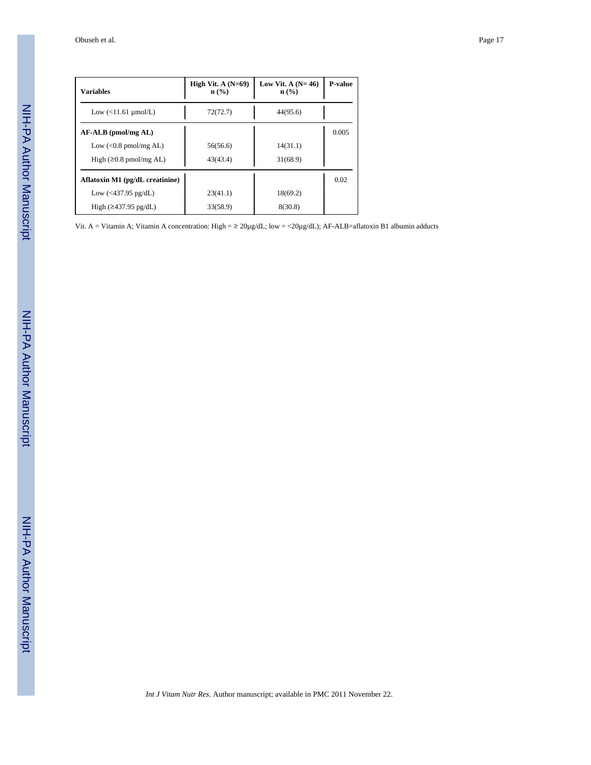| <b>Variables</b>                     | High Vit. A $(N=69)$<br>$n$ (%) | Low Vit. A $(N=46)$<br>$n$ (%) | <b>P-value</b> |
|--------------------------------------|---------------------------------|--------------------------------|----------------|
| Low $\left($ <11.61 $\mu$ mol/L)     | 72(72.7)                        | 44(95.6)                       |                |
| $AF-ALB$ (pmol/mg $AL$ )             |                                 |                                | 0.005          |
| Low $(<0.8 \text{ pmol/mg AL})$      | 56(56.6)                        | 14(31.1)                       |                |
| High $(\geq 0.8 \text{ pmol/mg AL})$ | 43(43.4)                        | 31(68.9)                       |                |
| Aflatoxin M1 (pg/dL creatinine)      |                                 |                                | 0.02           |
| Low $(<\!\!437.95 \text{ pg/dL})$    | 23(41.1)                        | 18(69.2)                       |                |
| High $(\geq 437.95 \text{ pg/dL})$   | 33(58.9)                        | 8(30.8)                        |                |

Vit. A = Vitamin A; Vitamin A concentration: High =  $\geq 20\mu g/dL$ ; low = <20µg/dL); AF-ALB=aflatoxin B1 albumin adducts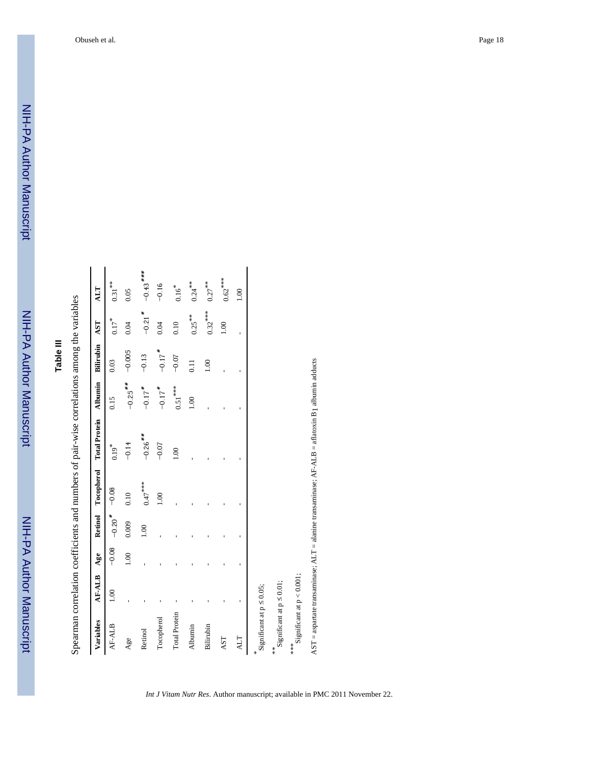| AND ON POINT WINDOW COLLONS.                                                              |
|-------------------------------------------------------------------------------------------|
|                                                                                           |
|                                                                                           |
|                                                                                           |
|                                                                                           |
|                                                                                           |
| Spearman correlation coefficients and mimbers of nair-ture correlations among the variale |
|                                                                                           |
| l                                                                                         |

| Variables                             | <b>AF-ALB</b> | Age     | Retinol              | Tocopherol | <b>Total Protein</b>  | Albumin               | Bilirubin            | AST                  | ALT                 |
|---------------------------------------|---------------|---------|----------------------|------------|-----------------------|-----------------------|----------------------|----------------------|---------------------|
| <b>AF-ALB</b>                         | 1.00          | $-0.08$ | $-0.20$ <sup>*</sup> | $-0.08$    | $0.19*$               | 0.15                  | 0.03                 | $0.17$ $^{\ast}$     | $0.31***$           |
| Age                                   |               | 1.00    | 0.009                | 0.10       | $-0.14$               | $-0.25$ <sup>**</sup> | $-0.005$             | 0.04                 | 0.05                |
| Retinol                               |               |         | 1.00                 | $0.47***$  | $-0.26$ <sup>**</sup> | $-0.17$ <sup>*</sup>  | $-0.13$              | $-0.21$ <sup>*</sup> | $-0.43***$          |
| Tocopherol                            |               |         |                      | 1.00       | $-0.07$               | $-0.17$ <sup>*</sup>  | $-0.17$ <sup>*</sup> | 0.04                 | $-0.16$             |
| Total Protein                         |               |         |                      |            | 1.00                  | $0.51***$             | $-0.07$              | 0.10                 | $0.16$ <sup>*</sup> |
| Albumin                               |               |         |                      |            |                       | 1.00                  | $\overline{0.11}$    | $0.25***$            | $0.24***$           |
| Bilirubin                             |               |         |                      |            |                       |                       | 00.1                 | $0.32***$            | $0.27***$           |
| AST                                   |               |         |                      |            |                       |                       |                      | 1.00                 | $0.62***$           |
| ALT                                   |               |         |                      |            |                       |                       |                      |                      | $\frac{8}{10}$      |
| Significant at $p \leq 0.05$ ;        |               |         |                      |            |                       |                       |                      |                      |                     |
| Significant at $p \leq 0.01$ ;<br>$*$ |               |         |                      |            |                       |                       |                      |                      |                     |
| Significant at $p < 0.001$ ;<br>***   |               |         |                      |            |                       |                       |                      |                      |                     |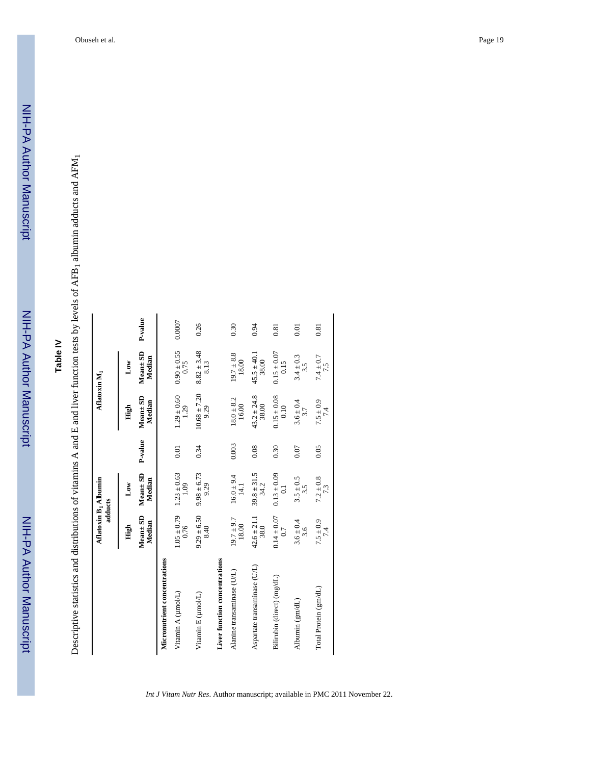# **Table IV**

Descriptive statistics and distributions of vitamins A and E and liver function tests by levels of AFB<sub>1</sub> albumin adducts and AFM<sub>1</sub> Descriptive statistics and distributions of vitamins A and E and liver function tests by levels of AFB1 albumin adducts and AFM1

|                               | Aflatoxin B <sub>1</sub> Albumin | adducts                 |         | Aflatoxin M <sub>1</sub>             |                          |         |
|-------------------------------|----------------------------------|-------------------------|---------|--------------------------------------|--------------------------|---------|
|                               | High                             | Low                     |         | High                                 | Low                      |         |
|                               | Mean± SD<br>Median               | Mean± SD<br>Median      | P-value | $Mean \pm SD$<br>Median              | Mean± SD<br>Median       | P-value |
| Micronutrient concentrations  |                                  |                         |         |                                      |                          |         |
| Vitamin A (µmol/L)            | $1.05 \pm 0.79$<br>0.76          | $1.23 \pm 0.63$         | 0.01    | $1.29 \pm 0.60$<br>1.29              | $0.90 \pm 0.55$<br>0.75  | 0.0007  |
| Vitamin E (µmol/L)            | $9.29 \pm 6.50$<br>8.40          | $9.98 \pm 6.73$<br>9.29 | 0.34    | $10.68 \pm 7.20$<br>9.29             | $8.82 \pm 3.48$<br>8.13  | 0.26    |
| Liver function concentrations |                                  |                         |         |                                      |                          |         |
| Alanine transaminase (U/L)    | $19.7 \pm 9.7$<br>18.00          | $16.0 \pm 9.4$<br>14.1  | 0.003   | $18.0 \pm 8.2$<br>16.00              | $19.7 \pm 8.8$<br>18.00  | 0.30    |
| Aspartate transaminase (U/L)  | $42.6 \pm 21.1$<br>38.0          | $39.8 \pm 31.5$<br>34.2 | 0.08    | $43.2 \pm 24.8$<br>38.00             | $45.5 \pm 40.1$<br>38.00 | 0.94    |
| Bilirubin (direct) (mg/dL)    | $0.14 \pm 0.07$<br>0.7           | $0.13 \pm 0.09$         | 0.30    | $0.15 \pm 0.08$<br>$\frac{0.10}{10}$ | $0.15 \pm 0.07$<br>0.15  | 0.81    |
| Albumin (gm/dL)               | $3.6 \pm 0.4$<br>3.6             | $3.5 \pm 0.5$<br>3.5    | 0.07    | $3.6 \pm 0.4$<br>3.7                 | $3.4 \pm 0.3$<br>3.5     | 0.01    |
| Total Protein (gm/dL)         | $7.5 \pm 0.9$<br>74              | $7.2 \pm 0.8$<br>7.3    | 0.05    | $7.5 \pm 0.9$<br>7.4                 | $7.4 \pm 0.7$<br>7.5     | 0.81    |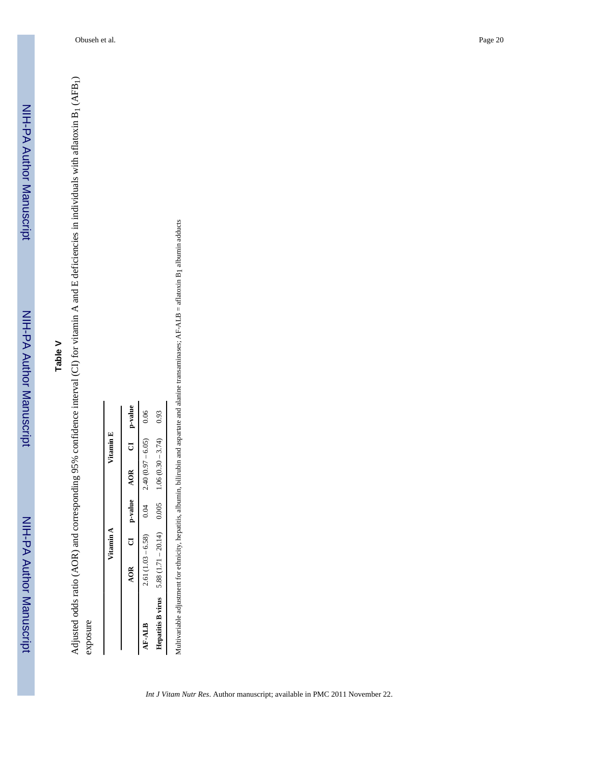# **Table V**

Adjusted odds ratio (AOR) and corresponding 95% confidence interval (CI) for vitamin A and E deficiencies in individuals with aflatoxin B<sub>1</sub> (AFB<sub>1</sub>) Adjusted odds ratio (AOR) and corresponding 95% confidence interval (CI) for vitamin A and E deficiencies in individuals with aflatoxin B1 (AFB1) exposure

|                          |                      | Vitamin A |                |                     | <b>/itamin E</b> |                |
|--------------------------|----------------------|-----------|----------------|---------------------|------------------|----------------|
|                          | <b>AOR</b>           |           | $C1$ $p-value$ | <b>AOR</b>          |                  | $C1$ $p-value$ |
| <b>AF-ALB</b>            | $2.61(1.03 - 6.58)$  |           | 0.04           | $2.40(0.97 - 6.05)$ |                  | 0.06           |
| <b>Iepatitis B virus</b> | $5.88(1.71 - 20.14)$ |           | 0.005          | $1.06(0.30 - 3.74)$ |                  | 0.93           |

Multivariable adjustment for ethnicity, hepatitis, albumin, bilirubin and aspartate and alanine transaminases; AF-ALB = aflatoxin B1 albumin adducts Multivariable adjustment for ethnicity, hepatitis, albumin, bilirubin and aspartate and alanine transaminases; AF-ALB = aflatoxin B1 albumin adducts